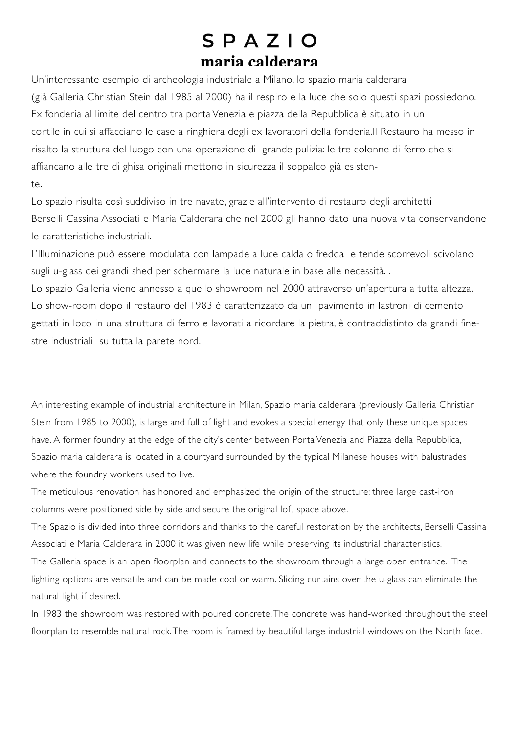## SPAZIO maria calderara

Un'interessante esempio di archeologia industriale a Milano, lo spazio maria calderara (già Galleria Christian Stein dal 1985 al 2000) ha il respiro e la luce che solo questi spazi possiedono. Ex fonderia al limite del centro tra porta Venezia e piazza della Repubblica è situato in un cortile in cui si affacciano le case a ringhiera degli ex lavoratori della fonderia.Il Restauro ha messo in risalto la struttura del luogo con una operazione di grande pulizia: le tre colonne di ferro che si affiancano alle tre di ghisa originali mettono in sicurezza il soppalco già esistente.

Lo spazio risulta così suddiviso in tre navate, grazie all'intervento di restauro degli architetti Berselli Cassina Associati e Maria Calderara che nel 2000 gli hanno dato una nuova vita conservandone le caratteristiche industriali.

L'Illuminazione può essere modulata con lampade a luce calda o fredda e tende scorrevoli scivolano sugli u-glass dei grandi shed per schermare la luce naturale in base alle necessità. .

Lo spazio Galleria viene annesso a quello showroom nel 2000 attraverso un'apertura a tutta altezza. Lo show-room dopo il restauro del 1983 è caratterizzato da un pavimento in lastroni di cemento gettati in loco in una struttura di ferro e lavorati a ricordare la pietra, è contraddistinto da grandi finestre industriali su tutta la parete nord.

An interesting example of industrial architecture in Milan, Spazio maria calderara (previously Galleria Christian Stein from 1985 to 2000), is large and full of light and evokes a special energy that only these unique spaces have. A former foundry at the edge of the city's center between Porta Venezia and Piazza della Repubblica, Spazio maria calderara is located in a courtyard surrounded by the typical Milanese houses with balustrades where the foundry workers used to live.

The meticulous renovation has honored and emphasized the origin of the structure: three large cast-iron columns were positioned side by side and secure the original loft space above.

The Spazio is divided into three corridors and thanks to the careful restoration by the architects, Berselli Cassina Associati e Maria Calderara in 2000 it was given new life while preserving its industrial characteristics.

The Galleria space is an open floorplan and connects to the showroom through a large open entrance. The lighting options are versatile and can be made cool or warm. Sliding curtains over the u-glass can eliminate the natural light if desired.

In 1983 the showroom was restored with poured concrete. The concrete was hand-worked throughout the steel floorplan to resemble natural rock. The room is framed by beautiful large industrial windows on the North face.